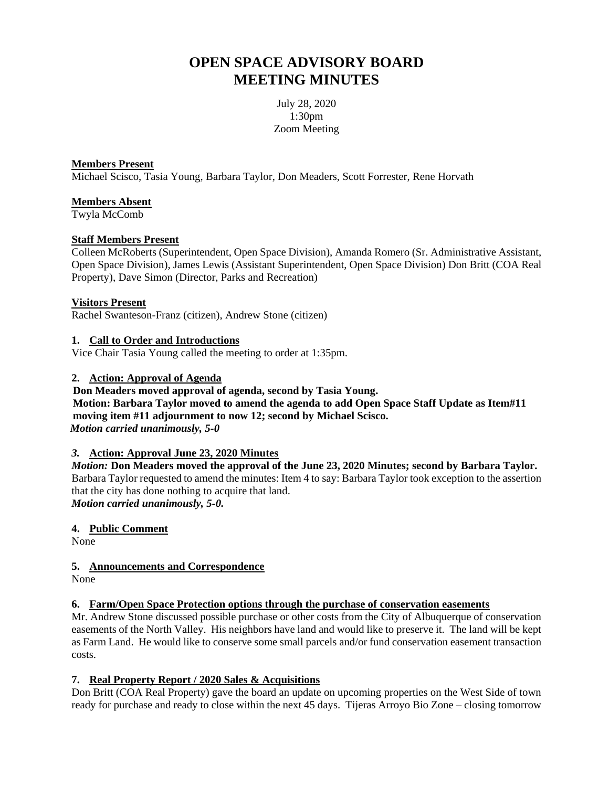# **OPEN SPACE ADVISORY BOARD MEETING MINUTES**

July 28, 2020 1:30pm Zoom Meeting

## **Members Present**

Michael Scisco, Tasia Young, Barbara Taylor, Don Meaders, Scott Forrester, Rene Horvath

# **Members Absent**

Twyla McComb

## **Staff Members Present**

Colleen McRoberts (Superintendent, Open Space Division), Amanda Romero (Sr. Administrative Assistant, Open Space Division), James Lewis (Assistant Superintendent, Open Space Division) Don Britt (COA Real Property), Dave Simon (Director, Parks and Recreation)

## **Visitors Present**

Rachel Swanteson-Franz (citizen), Andrew Stone (citizen)

## **1. Call to Order and Introductions**

Vice Chair Tasia Young called the meeting to order at 1:35pm.

## **2. Action: Approval of Agenda**

 **Don Meaders moved approval of agenda, second by Tasia Young. Motion: Barbara Taylor moved to amend the agenda to add Open Space Staff Update as Item#11 moving item #11 adjournment to now 12; second by Michael Scisco.**  *Motion carried unanimously, 5-0*

# *3.* **Action: Approval June 23, 2020 Minutes**

*Motion:* **Don Meaders moved the approval of the June 23, 2020 Minutes; second by Barbara Taylor.**  Barbara Taylor requested to amend the minutes: Item 4 to say: Barbara Taylor took exception to the assertion that the city has done nothing to acquire that land. *Motion carried unanimously, 5-0.*

## **4. Public Comment**

None

# **5. Announcements and Correspondence**

None

## **6. Farm/Open Space Protection options through the purchase of conservation easements**

Mr. Andrew Stone discussed possible purchase or other costs from the City of Albuquerque of conservation easements of the North Valley. His neighbors have land and would like to preserve it. The land will be kept as Farm Land. He would like to conserve some small parcels and/or fund conservation easement transaction costs.

# **7. Real Property Report / 2020 Sales & Acquisitions**

Don Britt (COA Real Property) gave the board an update on upcoming properties on the West Side of town ready for purchase and ready to close within the next 45 days. Tijeras Arroyo Bio Zone – closing tomorrow